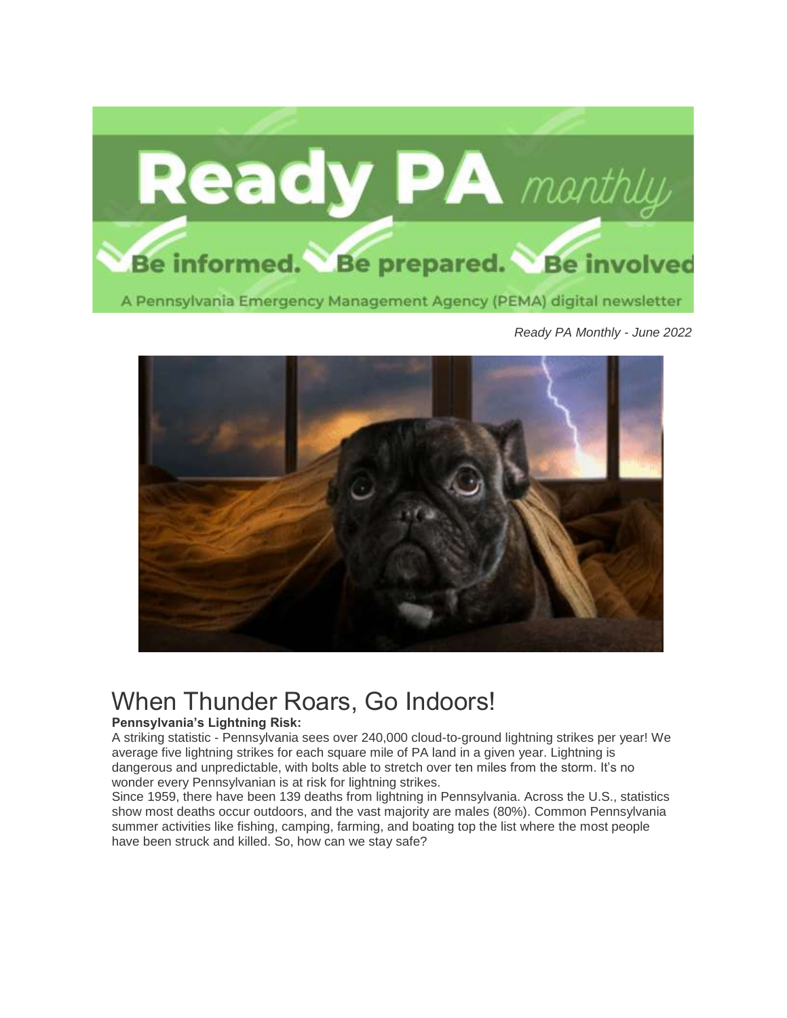

*Ready PA Monthly - June 2022*



# When Thunder Roars, Go Indoors!

#### **Pennsylvania's Lightning Risk:**

A striking statistic - Pennsylvania sees over 240,000 cloud-to-ground lightning strikes per year! We average five lightning strikes for each square mile of PA land in a given year. Lightning is dangerous and unpredictable, with bolts able to stretch over ten miles from the storm. It's no wonder every Pennsylvanian is at risk for lightning strikes.

Since 1959, there have been 139 deaths from lightning in Pennsylvania. Across the U.S., statistics show most deaths occur outdoors, and the vast majority are males (80%). Common Pennsylvania summer activities like fishing, camping, farming, and boating top the list where the most people have been struck and killed. So, how can we stay safe?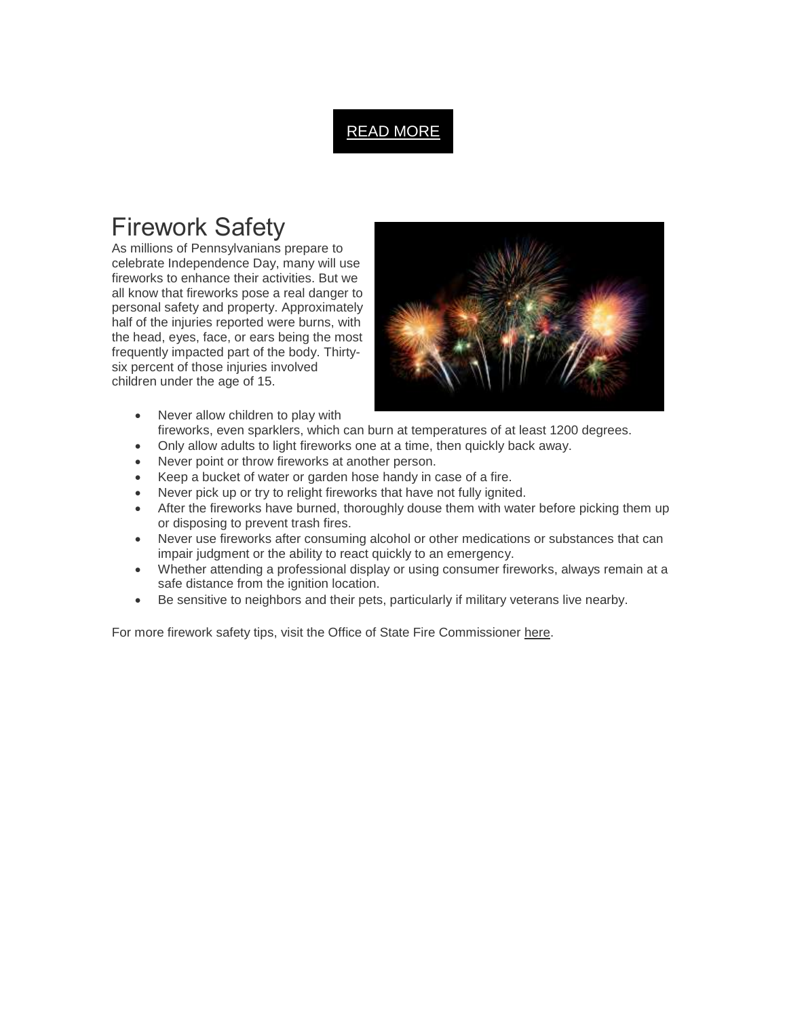### READ [MORE](https://t.e2ma.net/click/vupjie/nsiupyd/bzz2wl)

## Firework Safety

As millions of Pennsylvanians prepare to celebrate Independence Day, many will use fireworks to enhance their activities. But we all know that fireworks pose a real danger to personal safety and property. Approximately half of the injuries reported were burns, with the head, eyes, face, or ears being the most frequently impacted part of the body. Thirtysix percent of those injuries involved children under the age of 15.



- Never allow children to play with fireworks, even sparklers, which can burn at temperatures of at least 1200 degrees.
- Only allow adults to light fireworks one at a time, then quickly back away.
- Never point or throw fireworks at another person.
- Keep a bucket of water or garden hose handy in case of a fire.
- Never pick up or try to relight fireworks that have not fully ignited.
- After the fireworks have burned, thoroughly douse them with water before picking them up or disposing to prevent trash fires.
- Never use fireworks after consuming alcohol or other medications or substances that can impair judgment or the ability to react quickly to an emergency.
- Whether attending a professional display or using consumer fireworks, always remain at a safe distance from the ignition location.
- Be sensitive to neighbors and their pets, particularly if military veterans live nearby.

For more firework safety tips, visit the Office of State Fire Commissioner [here.](https://t.e2ma.net/click/vupjie/nsiupyd/7j12wl)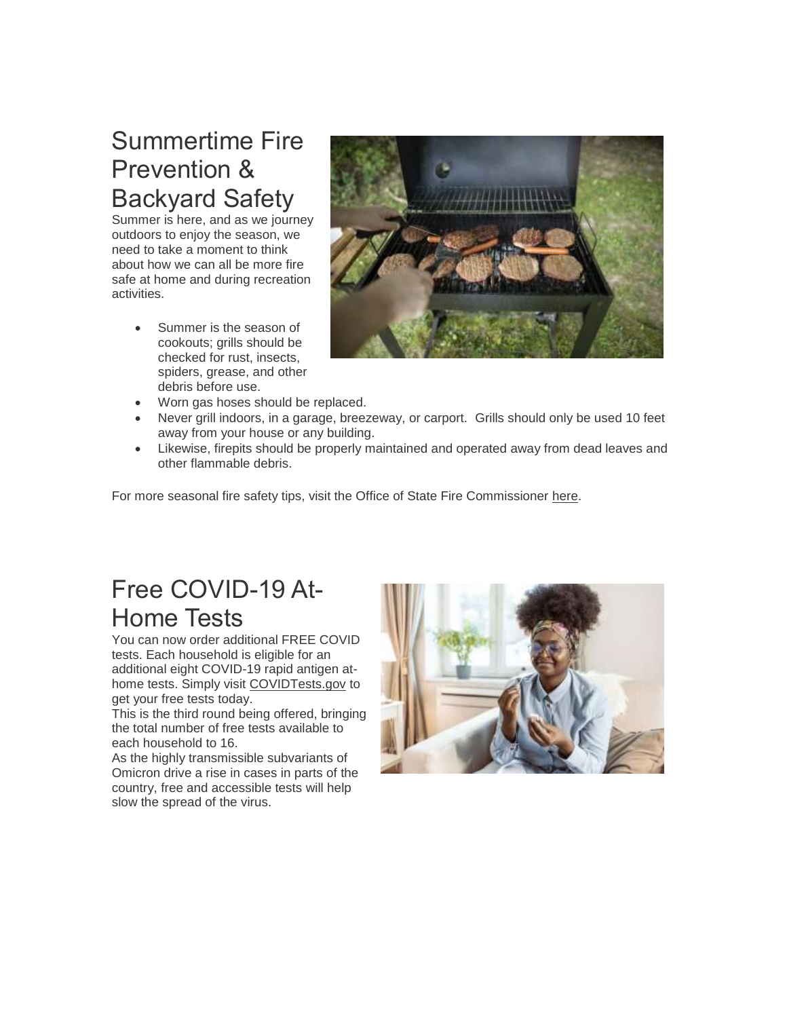# Summertime Fire Prevention & Backyard Safety

Summer is here, and as we journey outdoors to enjoy the season, we need to take a moment to think about how we can all be more fire safe at home and during recreation activities.

> Summer is the season of cookouts; grills should be checked for rust, insects, spiders, grease, and other debris before use.



- Worn gas hoses should be replaced.
- Never grill indoors, in a garage, breezeway, or carport. Grills should only be used 10 feet away from your house or any building.
- Likewise, firepits should be properly maintained and operated away from dead leaves and other flammable debris.

For more seasonal fire safety tips, visit the Office of State Fire Commissioner [here.](https://t.e2ma.net/click/vupjie/nsiupyd/3422wl)

# Free COVID-19 At-Home Tests

You can now order additional FREE COVID tests. Each household is eligible for an additional eight COVID-19 rapid antigen athome tests. Simply visit [COVIDTests.gov](https://t.e2ma.net/click/vupjie/nsiupyd/zp42wl) to get your free tests today.

This is the third round being offered, bringing the total number of free tests available to each household to 16.

As the highly transmissible subvariants of Omicron drive a rise in cases in parts of the country, free and accessible tests will help slow the spread of the virus.